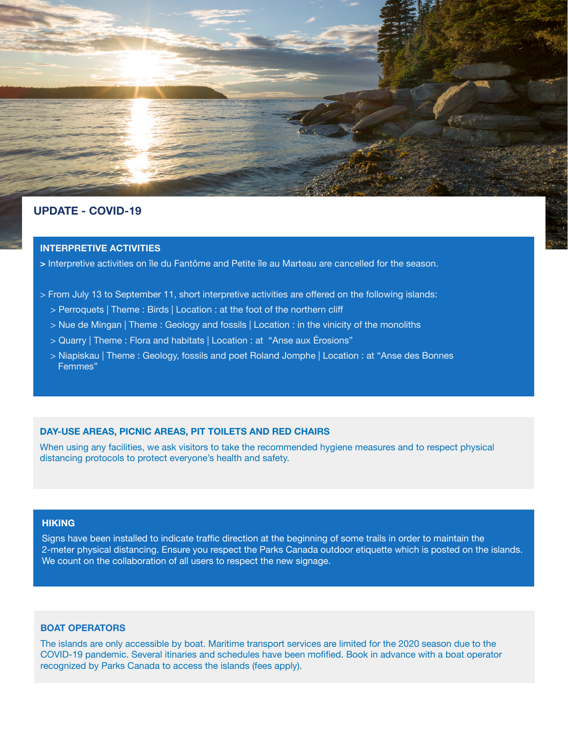

 $10$  h  $\sim$  13  $\mu$  45 et 15 km  $^2$  km  $^2$  h  $^2$  h  $^2$  h  $^2$  h  $^2$  h  $^2$  h  $^2$  h  $^2$  h  $^2$  h  $^2$  h  $^2$  h  $^2$ 

## **UPDATE - COVID-19**

## **INTERPRETIVE ACTIVITIES**

> Interpretive activities on île du Fantôme and Petite île au Marteau are cancelled for the season.

- > From July 13 to September 11, short interpretive activities are offered on the following islands:
- > Perroquets | Theme : Birds | Location : at the foot of the northern cliff
	- > Nue de Mingan | Theme : Geology and fossils | Location : in the vinicity of the monoliths
	- > Quarry | Theme : Flora and habitats | Location : at "Anse aux Érosions"
	- > Niapiskau | Theme : Geology, fossils and poet Roland Jomphe | Location : at "Anse des Bonnes Femmes"

#### **DAY-USE AREAS, PICNIC AREAS, PIT TOILETS AND RED CHAIRS**

When using any facilities, we ask visitors to take the recommended hygiene measures and to respect physical distancing protocols to protect everyone's health and safety.

#### **HIKING**

Signs have been installed to indicate traffic direction at the beginning of some trails in order to maintain the 2-meter physical distancing. Ensure you respect the Parks Canada outdoor etiquette which is posted on the islands. We count on the collaboration of all users to respect the new signage.

### **BOAT OPERATORS**

The islands are only accessible by boat. Maritime transport services are limited for the 2020 season due to the COVID-19 pandemic. Several itinaries and schedules have been mofified. Book in advance with a boat operator recognized by Parks Canada to access the islands (fees apply).